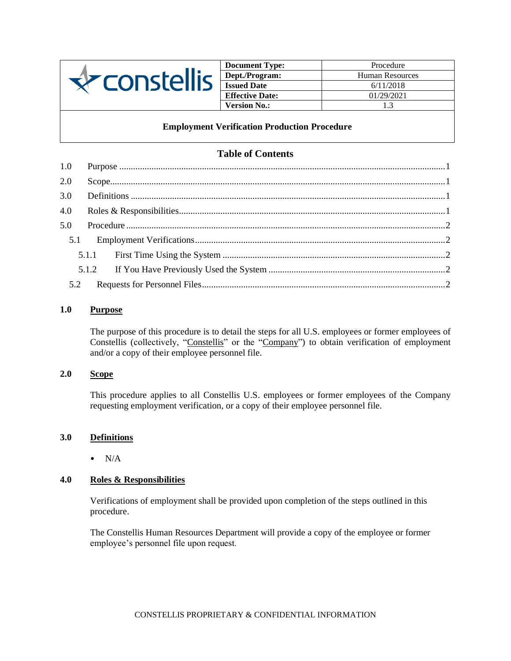

| <b>Document Type:</b>  | Procedure       |
|------------------------|-----------------|
| Dept./Program:         | Human Resources |
| <b>Issued Date</b>     | 6/11/2018       |
| <b>Effective Date:</b> | 01/29/2021      |
| <b>Version No.:</b>    | 13              |

## **Employment Verification Production Procedure**

# **Table of Contents**

| 1.0 |  |
|-----|--|
| 2.0 |  |
| 3.0 |  |
| 4.0 |  |
| 5.0 |  |
| 5.1 |  |
|     |  |
|     |  |
| 5.2 |  |

## <span id="page-0-0"></span>**1.0 Purpose**

The purpose of this procedure is to detail the steps for all U.S. employees or former employees of Constellis (collectively, "Constellis" or the "Company") to obtain verification of employment and/or a copy of their employee personnel file.

### <span id="page-0-1"></span>**2.0 Scope**

This procedure applies to all Constellis U.S. employees or former employees of the Company requesting employment verification, or a copy of their employee personnel file.

#### <span id="page-0-2"></span>**3.0 Definitions**

 $\bullet$  N/A

## <span id="page-0-3"></span>**4.0 Roles & Responsibilities**

Verifications of employment shall be provided upon completion of the steps outlined in this procedure.

The Constellis Human Resources Department will provide a copy of the employee or former employee's personnel file upon request.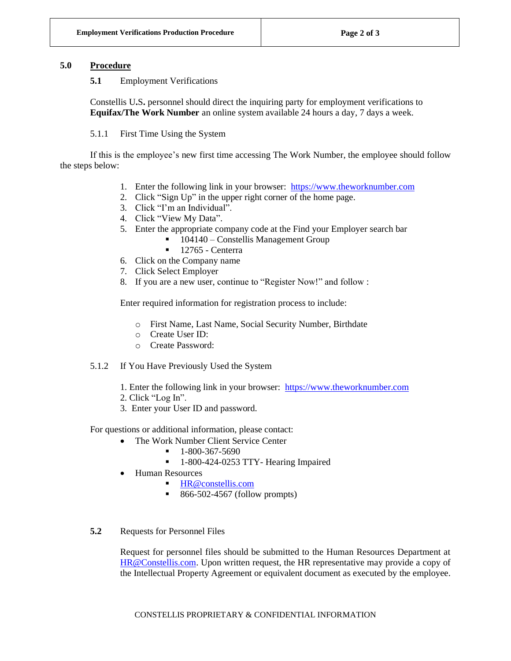### <span id="page-1-1"></span><span id="page-1-0"></span>**5.0 Procedure**

#### **5.1** Employment Verifications

Constellis U**.**S**.** personnel should direct the inquiring party for employment verifications to **Equifax/The Work Number** an online system available 24 hours a day, 7 days a week.

### 5.1.1 First Time Using the System

<span id="page-1-2"></span>If this is the employee's new first time accessing The Work Number, the employee should follow the steps below:

- 1. Enter the following link in your browser: [https://www.theworknumber.com](https://www.theworknumber.com/)
- 2. Click "Sign Up" in the upper right corner of the home page.
- 3. Click "I'm an Individual".
- 4. Click "View My Data".
- 5. Enter the appropriate company code at the Find your Employer search bar
	- 104140 Constellis Management Group
	- $\blacksquare$  12765 Centerra
- 6. Click on the Company name
- 7. Click Select Employer
- 8. If you are a new user, continue to "Register Now!" and follow :

Enter required information for registration process to include:

- o First Name, Last Name, Social Security Number, Birthdate
- o Create User ID:
- o Create Password:
- <span id="page-1-3"></span>5.1.2 If You Have Previously Used the System
	- 1. Enter the following link in your browser: [https://www.theworknumber.com](https://www.theworknumber.com/)
	- 2. Click "Log In".
	- 3. Enter your User ID and password.

For questions or additional information, please contact:

- The Work Number Client Service Center
	- $-1-800-367-5690$
	- 1-800-424-0253 TTY- Hearing Impaired
- Human Resources
	- [HR@constellis.com](mailto:HR@constellis.com)
	- 866-502-4567 (follow prompts)
- <span id="page-1-4"></span>**5.2** Requests for Personnel Files

Request for personnel files should be submitted to the Human Resources Department at [HR@Constellis.com.](mailto:HR@Constellis.com) Upon written request, the HR representative may provide a copy of the Intellectual Property Agreement or equivalent document as executed by the employee.